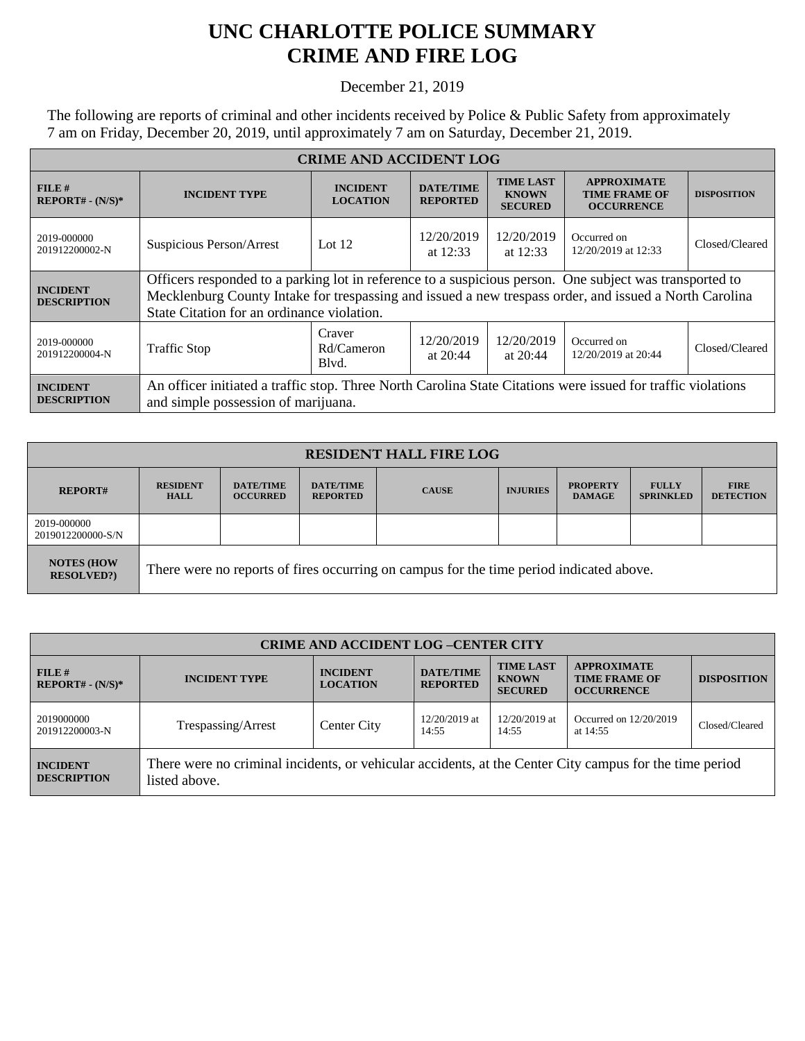## **UNC CHARLOTTE POLICE SUMMARY CRIME AND FIRE LOG**

## December 21, 2019

The following are reports of criminal and other incidents received by Police & Public Safety from approximately 7 am on Friday, December 20, 2019, until approximately 7 am on Saturday, December 21, 2019.

| <b>CRIME AND ACCIDENT LOG</b>         |                                                                                                                                                                                                                                                                 |                                    |                                     |                                                    |                                                                 |                    |  |
|---------------------------------------|-----------------------------------------------------------------------------------------------------------------------------------------------------------------------------------------------------------------------------------------------------------------|------------------------------------|-------------------------------------|----------------------------------------------------|-----------------------------------------------------------------|--------------------|--|
| FILE#<br>$REPORT# - (N/S)*$           | <b>INCIDENT TYPE</b>                                                                                                                                                                                                                                            | <b>INCIDENT</b><br><b>LOCATION</b> | <b>DATE/TIME</b><br><b>REPORTED</b> | <b>TIME LAST</b><br><b>KNOWN</b><br><b>SECURED</b> | <b>APPROXIMATE</b><br><b>TIME FRAME OF</b><br><b>OCCURRENCE</b> | <b>DISPOSITION</b> |  |
| 2019-000000<br>201912200002-N         | Suspicious Person/Arrest                                                                                                                                                                                                                                        | Lot $12$                           | 12/20/2019<br>at $12:33$            | 12/20/2019<br>at $12:33$                           | Occurred on<br>12/20/2019 at 12:33                              | Closed/Cleared     |  |
| <b>INCIDENT</b><br><b>DESCRIPTION</b> | Officers responded to a parking lot in reference to a suspicious person. One subject was transported to<br>Mecklenburg County Intake for trespassing and issued a new trespass order, and issued a North Carolina<br>State Citation for an ordinance violation. |                                    |                                     |                                                    |                                                                 |                    |  |
| 2019-000000<br>201912200004-N         | <b>Traffic Stop</b>                                                                                                                                                                                                                                             | Craver<br>Rd/Cameron<br>Blyd.      | 12/20/2019<br>at $20:44$            | 12/20/2019<br>at $20:44$                           | Occurred on<br>12/20/2019 at 20:44                              | Closed/Cleared     |  |
| <b>INCIDENT</b><br><b>DESCRIPTION</b> | An officer initiated a traffic stop. Three North Carolina State Citations were issued for traffic violations<br>and simple possession of marijuana.                                                                                                             |                                    |                                     |                                                    |                                                                 |                    |  |

| <b>RESIDENT HALL FIRE LOG</b>          |                                                                                         |                                     |                                     |              |                 |                                  |                                  |                                 |
|----------------------------------------|-----------------------------------------------------------------------------------------|-------------------------------------|-------------------------------------|--------------|-----------------|----------------------------------|----------------------------------|---------------------------------|
| <b>REPORT#</b>                         | <b>RESIDENT</b><br><b>HALL</b>                                                          | <b>DATE/TIME</b><br><b>OCCURRED</b> | <b>DATE/TIME</b><br><b>REPORTED</b> | <b>CAUSE</b> | <b>INJURIES</b> | <b>PROPERTY</b><br><b>DAMAGE</b> | <b>FULLY</b><br><b>SPRINKLED</b> | <b>FIRE</b><br><b>DETECTION</b> |
| 2019-000000<br>2019012200000-S/N       |                                                                                         |                                     |                                     |              |                 |                                  |                                  |                                 |
| <b>NOTES (HOW</b><br><b>RESOLVED?)</b> | There were no reports of fires occurring on campus for the time period indicated above. |                                     |                                     |              |                 |                                  |                                  |                                 |

| <b>CRIME AND ACCIDENT LOG-CENTER CITY</b> |                                                                                                                          |                                    |                                     |                                                    |                                                                 |                    |  |
|-------------------------------------------|--------------------------------------------------------------------------------------------------------------------------|------------------------------------|-------------------------------------|----------------------------------------------------|-----------------------------------------------------------------|--------------------|--|
| FILE H<br>$REPORT# - (N/S)*$              | <b>INCIDENT TYPE</b>                                                                                                     | <b>INCIDENT</b><br><b>LOCATION</b> | <b>DATE/TIME</b><br><b>REPORTED</b> | <b>TIME LAST</b><br><b>KNOWN</b><br><b>SECURED</b> | <b>APPROXIMATE</b><br><b>TIME FRAME OF</b><br><b>OCCURRENCE</b> | <b>DISPOSITION</b> |  |
| 2019000000<br>201912200003-N              | Trespassing/Arrest                                                                                                       | Center City                        | $12/20/2019$ at<br>14:55            | 12/20/2019 at<br>14:55                             | Occurred on $12/20/2019$<br>at 14:55                            | Closed/Cleared     |  |
| <b>INCIDENT</b><br><b>DESCRIPTION</b>     | There were no criminal incidents, or vehicular accidents, at the Center City campus for the time period<br>listed above. |                                    |                                     |                                                    |                                                                 |                    |  |